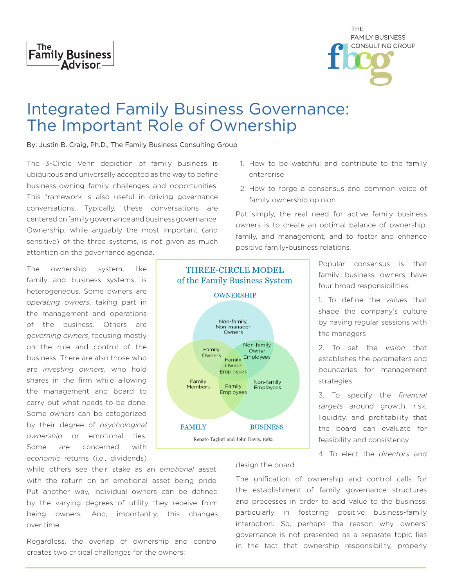

| THE                     |
|-------------------------|
| <b>FAMILY BUSINESS</b>  |
| <b>CONSULTING GROUP</b> |
|                         |
|                         |

## Integrated Family Business Governance: The Important Role of Ownership

By: Justin B. Craig, Ph.D., The Family Business Consulting Group

The 3-Circle Venn depiction of family business is ubiquitous and universally accepted as the way to define business-owning family challenges and opportunities. This framework is also useful in driving governance conversations. Typically, these conversations are centered on family governance and business governance. Ownership, while arguably the most important (and sensitive) of the three systems, is not given as much attention on the governance agenda.

The ownership system, like family and business systems, is heterogeneous. Some owners are *operating owners*, taking part in the management and operations of the business. Others are *governing owners*, focusing mostly on the rule and control of the business. There are also those who are *investing owners*, who hold shares in the firm while allowing the management and board to carry out what needs to be done. Some owners can be categorized by their degree of *psychological ownership* or emotional ties. Some are concerned with *economic* returns (i.e., dividends)



- 1. How to be watchful and contribute to the family enterprise
- 2. How to forge a consensus and common voice of family ownership opinion

Put simply, the real need for active family business owners is to create an optimal balance of ownership, family, and management, and to foster and enhance positive family-business relations.

> Popular consensus is that family business owners have four broad responsibilities:

> 1. To define the *values* that shape the company's culture by having regular sessions with the managers

> 2. To set the *vision* that establishes the parameters and boundaries for management strategies

> 3. To specify the *financial targets* around growth, risk, liquidity, and profitability that the board can evaluate for feasibility and consistency

> 4. To elect the *directors* and

while others see their stake as an *emotional* asset, with the return on an emotional asset being pride. Put another way, individual owners can be defined by the varying degrees of utility they receive from being owners. And, importantly, this changes over time.

Regardless, the overlap of ownership and control creates two critical challenges for the owners:

design the board

The unification of ownership and control calls for the establishment of family governance structures and processes in order to add value to the business, particularly in fostering positive business-family interaction. So, perhaps the reason why owners' governance is not presented as a separate topic lies in the fact that ownership responsibility, properly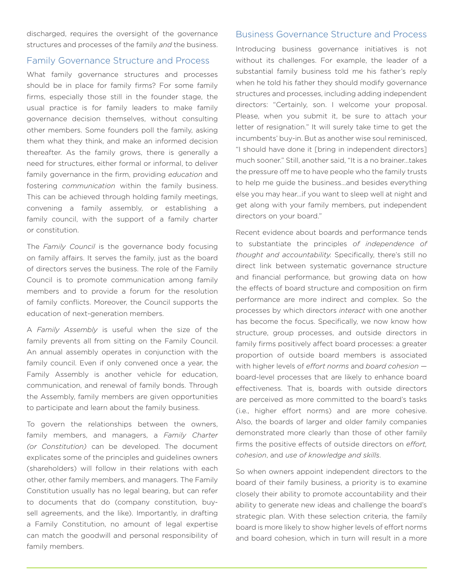discharged, requires the oversight of the governance structures and processes of the family *and* the business.

## Family Governance Structure and Process

What family governance structures and processes should be in place for family firms? For some family firms, especially those still in the founder stage, the usual practice is for family leaders to make family governance decision themselves, without consulting other members. Some founders poll the family, asking them what they think, and make an informed decision thereafter. As the family grows, there is generally a need for structures, either formal or informal, to deliver family governance in the firm, providing *education* and fostering *communication* within the family business. This can be achieved through holding family meetings, convening a family assembly, or establishing a family council, with the support of a family charter or constitution.

The *Family Council* is the governance body focusing on family affairs. It serves the family, just as the board of directors serves the business. The role of the Family Council is to promote communication among family members and to provide a forum for the resolution of family conflicts. Moreover, the Council supports the education of next-generation members.

A *Family Assembly* is useful when the size of the family prevents all from sitting on the Family Council. An annual assembly operates in conjunction with the family council. Even if only convened once a year, the Family Assembly is another vehicle for education, communication, and renewal of family bonds. Through the Assembly, family members are given opportunities to participate and learn about the family business.

To govern the relationships between the owners, family members, and managers, a *Family Charter (or Constitution)* can be developed. The document explicates some of the principles and guidelines owners (shareholders) will follow in their relations with each other, other family members, and managers. The Family Constitution usually has no legal bearing, but can refer to documents that do (company constitution, buysell agreements, and the like). Importantly, in drafting a Family Constitution, no amount of legal expertise can match the goodwill and personal responsibility of family members.

## Business Governance Structure and Process

Introducing business governance initiatives is not without its challenges. For example, the leader of a substantial family business told me his father's reply when he told his father they should modify governance structures and processes, including adding independent directors: "Certainly, son. I welcome your proposal. Please, when you submit it, be sure to attach your letter of resignation." It will surely take time to get the incumbents' buy-in. But as another wise soul reminisced, "I should have done it [bring in independent directors] much sooner." Still, another said, "It is a no brainer…takes the pressure off me to have people who the family trusts to help me guide the business…and besides everything else you may hear…if you want to sleep well at night and get along with your family members, put independent directors on your board."

Recent evidence about boards and performance tends to substantiate the principles *of independence of thought and accountability.* Specifically, there's still no direct link between systematic governance structure and financial performance, but growing data on how the effects of board structure and composition on firm performance are more indirect and complex. So the processes by which directors *interact* with one another has become the focus. Specifically, we now know how structure, group processes, and outside directors in family firms positively affect board processes: a greater proportion of outside board members is associated with higher levels of *effort norms* and *board cohesion* board-level processes that are likely to enhance board effectiveness. That is, boards with outside directors are perceived as more committed to the board's tasks (i.e., higher effort norms) and are more cohesive. Also, the boards of larger and older family companies demonstrated more clearly than those of other family firms the positive effects of outside directors on *effort, cohesion*, and *use of knowledge and skills*.

So when owners appoint independent directors to the board of their family business, a priority is to examine closely their ability to promote accountability and their ability to generate new ideas and challenge the board's strategic plan. With these selection criteria, the family board is more likely to show higher levels of effort norms and board cohesion, which in turn will result in a more